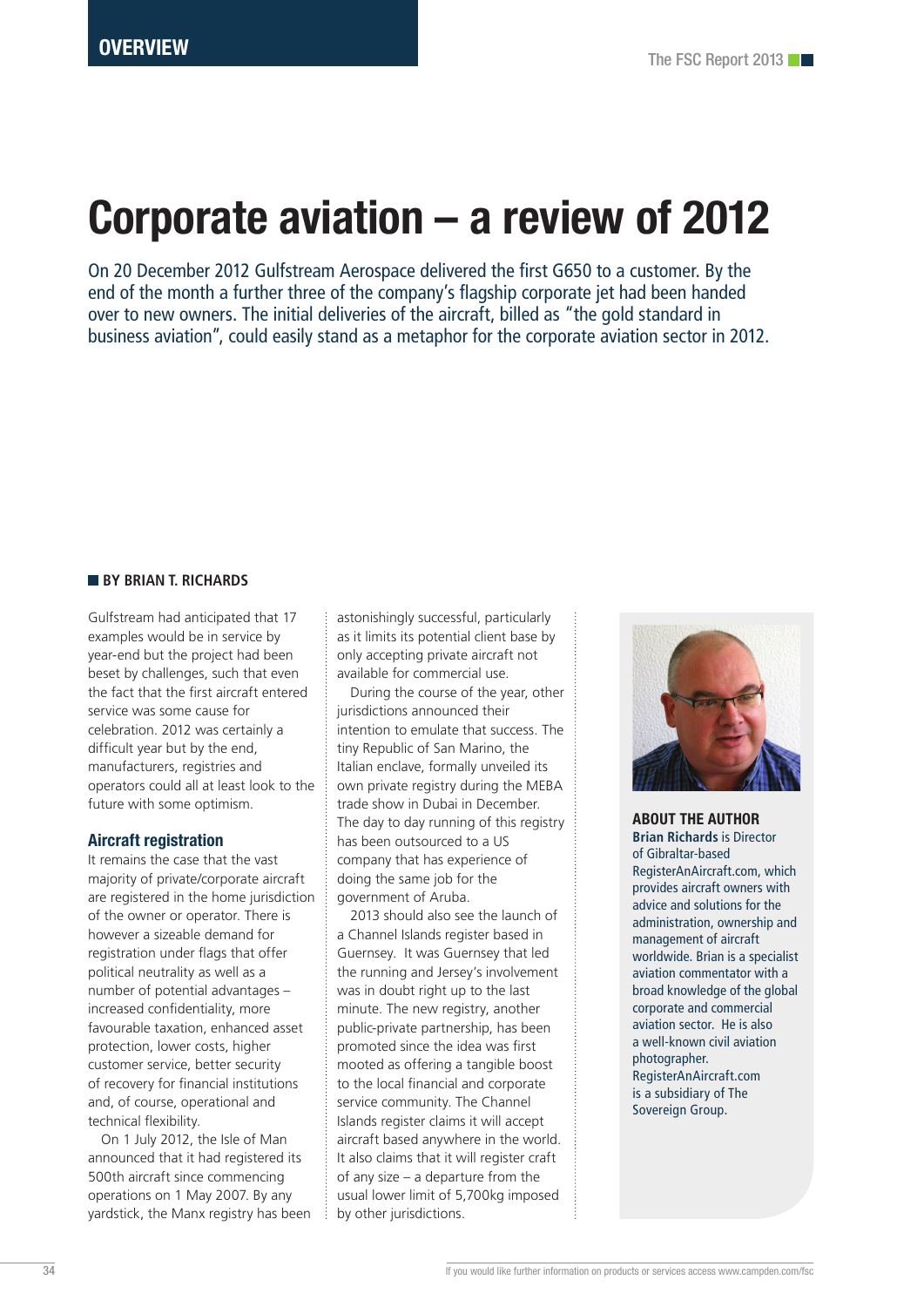# Corporate aviation – a review of 2012

On 20 December 2012 Gulfstream Aerospace delivered the first G650 to a customer. By the end of the month a further three of the company's flagship corporate jet had been handed over to new owners. The initial deliveries of the aircraft, billed as "the gold standard in business aviation", could easily stand as a metaphor for the corporate aviation sector in 2012.

#### **BY BRIAN T. RICHARDS**

Gulfstream had anticipated that 17 examples would be in service by year-end but the project had been beset by challenges, such that even the fact that the first aircraft entered service was some cause for celebration. 2012 was certainly a difficult year but by the end, manufacturers, registries and operators could all at least look to the future with some optimism.

#### Aircraft registration

It remains the case that the vast majority of private/corporate aircraft are registered in the home jurisdiction of the owner or operator. There is however a sizeable demand for registration under flags that offer political neutrality as well as a number of potential advantages – increased confidentiality, more favourable taxation, enhanced asset protection, lower costs, higher customer service, better security of recovery for financial institutions and, of course, operational and technical flexibility.

On 1 July 2012, the Isle of Man announced that it had registered its 500th aircraft since commencing operations on 1 May 2007. By any yardstick, the Manx registry has been astonishingly successful, particularly as it limits its potential client base by only accepting private aircraft not available for commercial use.

During the course of the year, other jurisdictions announced their intention to emulate that success. The tiny Republic of San Marino, the Italian enclave, formally unveiled its own private registry during the MEBA trade show in Dubai in December. The day to day running of this registry has been outsourced to a US company that has experience of doing the same job for the government of Aruba.

2013 should also see the launch of a Channel Islands register based in Guernsey. It was Guernsey that led the running and Jersey's involvement was in doubt right up to the last minute. The new registry, another public-private partnership, has been promoted since the idea was first mooted as offering a tangible boost to the local financial and corporate service community. The Channel Islands register claims it will accept aircraft based anywhere in the world. It also claims that it will register craft of any size – a departure from the usual lower limit of 5,700kg imposed by other jurisdictions.



ABOUT THE AUTHOR **Brian Richards** is Director of Gibraltar-based RegisterAnAircraft.com, which provides aircraft owners with advice and solutions for the administration, ownership and management of aircraft worldwide. Brian is a specialist aviation commentator with a broad knowledge of the global corporate and commercial aviation sector. He is also a well-known civil aviation photographer. RegisterAnAircraft.com is a subsidiary of The Sovereign Group.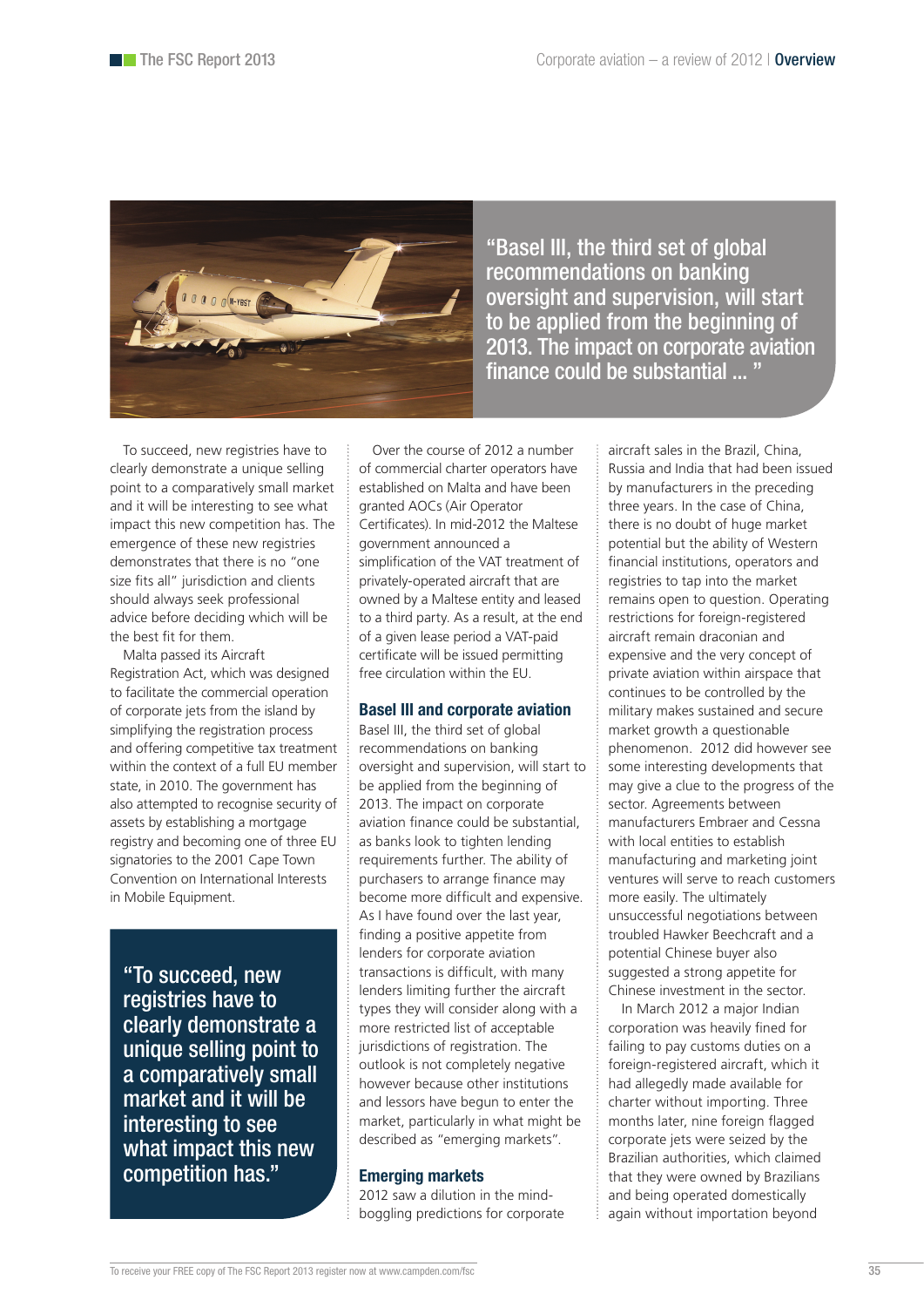

"Basel III, the third set of global recommendations on banking oversight and supervision, will start to be applied from the beginning of 2013. The impact on corporate aviation finance could be substantial ... "

To succeed, new registries have to clearly demonstrate a unique selling point to a comparatively small market and it will be interesting to see what impact this new competition has. The emergence of these new registries demonstrates that there is no "one size fits all" jurisdiction and clients should always seek professional advice before deciding which will be the best fit for them.

Malta passed its Aircraft Registration Act, which was designed to facilitate the commercial operation of corporate jets from the island by simplifying the registration process and offering competitive tax treatment within the context of a full EU member state, in 2010. The government has also attempted to recognise security of assets by establishing a mortgage registry and becoming one of three EU signatories to the 2001 Cape Town Convention on International Interests in Mobile Equipment.

"To succeed, new registries have to clearly demonstrate a unique selling point to a comparatively small market and it will be interesting to see what impact this new competition has."

Over the course of 2012 a number of commercial charter operators have established on Malta and have been granted AOCs (Air Operator Certificates). In mid-2012 the Maltese government announced a simplification of the VAT treatment of privately-operated aircraft that are owned by a Maltese entity and leased to a third party. As a result, at the end of a given lease period a VAT-paid certificate will be issued permitting free circulation within the EU.

## Basel III and corporate aviation

Basel III, the third set of global recommendations on banking oversight and supervision, will start to be applied from the beginning of 2013. The impact on corporate aviation finance could be substantial, as banks look to tighten lending requirements further. The ability of purchasers to arrange finance may become more difficult and expensive. As I have found over the last year, finding a positive appetite from lenders for corporate aviation transactions is difficult, with many lenders limiting further the aircraft types they will consider along with a more restricted list of acceptable jurisdictions of registration. The outlook is not completely negative however because other institutions and lessors have begun to enter the market, particularly in what might be described as "emerging markets".

## Emerging markets

2012 saw a dilution in the mindboggling predictions for corporate aircraft sales in the Brazil, China, Russia and India that had been issued by manufacturers in the preceding three years. In the case of China, there is no doubt of huge market potential but the ability of Western financial institutions, operators and registries to tap into the market remains open to question. Operating restrictions for foreign-registered aircraft remain draconian and expensive and the very concept of private aviation within airspace that continues to be controlled by the military makes sustained and secure market growth a questionable phenomenon. 2012 did however see some interesting developments that may give a clue to the progress of the sector. Agreements between manufacturers Embraer and Cessna with local entities to establish manufacturing and marketing joint ventures will serve to reach customers more easily. The ultimately unsuccessful negotiations between troubled Hawker Beechcraft and a potential Chinese buyer also suggested a strong appetite for Chinese investment in the sector.

In March 2012 a major Indian corporation was heavily fined for failing to pay customs duties on a foreign-registered aircraft, which it had allegedly made available for charter without importing. Three months later, nine foreign flagged corporate jets were seized by the Brazilian authorities, which claimed that they were owned by Brazilians and being operated domestically again without importation beyond